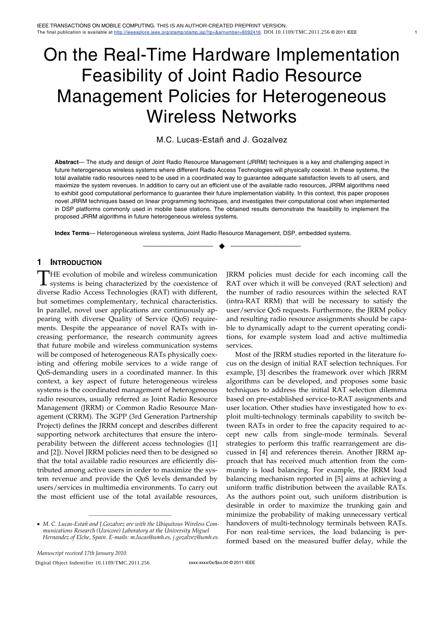# On the Real-Time Hardware Implementation Feasibility of Joint Radio Resource Management Policies for Heterogeneous Wireless Networks

M.C. Lucas-Estañ and J. Gozalvez

**Abstract**— The study and design of Joint Radio Resource Management (JRRM) techniques is a key and challenging aspect in future heterogeneous wireless systems where different Radio Access Technologies will physically coexist. In these systems, the total available radio resources need to be used in a coordinated way to guarantee adequate satisfaction levels to all users, and maximize the system revenues. In addition to carry out an efficient use of the available radio resources, JRRM algorithms need to exhibit good computational performance to guarantee their future implementation viability. In this context, this paper proposes novel JRRM techniques based on linear programming techniques, and investigates their computational cost when implemented in DSP platforms commonly used in mobile base stations. The obtained results demonstrate the feasibility to implement the proposed JRRM algorithms in future heterogeneous wireless systems.

—————————— ——————————

**Index Terms**— Heterogeneous wireless systems, Joint Radio Resource Management, DSP, embedded systems.

# **1 INTRODUCTION**

HE evolution of mobile and wireless communication systems is being characterized by the coexistence of diverse Radio Access Technologies (RAT) with different, but sometimes complementary, technical characteristics. In parallel, novel user applications are continuously appearing with diverse Quality of Service (QoS) requirements. Despite the appearance of novel RATs with increasing performance, the research community agrees that future mobile and wireless communication systems will be composed of heterogeneous RATs physically coexisting and offering mobile services to a wide range of QoS-demanding users in a coordinated manner. In this context, a key aspect of future heterogeneous wireless systems is the coordinated management of heterogeneous radio resources, usually referred as Joint Radio Resource Management (JRRM) or Common Radio Resource Management (CRRM). The 3GPP (3rd Generation Partnership Project) defines the JRRM concept and describes different supporting network architectures that ensure the interoperability between the different access technologies ([1] and [2]). Novel JRRM policies need then to be designed so that the total available radio resources are efficiently distributed among active users in order to maximize the system revenue and provide the QoS levels demanded by users/services in multimedia environments. To carry out the most efficient use of the total available resources,  $\prod_{i=1}^n$ 

————————————————

JRRM policies must decide for each incoming call the RAT over which it will be conveyed (RAT selection) and the number of radio resources within the selected RAT (intra-RAT RRM) that will be necessary to satisfy the user/service QoS requests. Furthermore, the JRRM policy and resulting radio resource assignments should be capable to dynamically adapt to the current operating conditions, for example system load and active multimedia services.

Most of the JRRM studies reported in the literature focus on the design of initial RAT selection techniques. For example, [3] describes the framework over which JRRM algorithms can be developed, and proposes some basic techniques to address the initial RAT selection dilemma based on pre-established service-to-RAT assignments and user location. Other studies have investigated how to exploit multi-technology terminals capability to switch between RATs in order to free the capacity required to accept new calls from single-mode terminals. Several strategies to perform this traffic rearrangement are discussed in [4] and references therein. Another JRRM approach that has received much attention from the community is load balancing. For example, the JRRM load balancing mechanism reported in [5] aims at achieving a uniform traffic distribution between the available RATs. As the authors point out, such uniform distribution is desirable in order to maximize the trunking gain and minimize the probability of making unnecessary vertical handovers of multi-technology terminals between RATs. For non real-time services, the load balancing is performed based on the measured buffer delay, while the

*Manuscript received 17th January 2010.* Digital Object Indentifier 10.1109/TMC.2011.256

<sup>•</sup> *M. C. Lucas-Estañ and J.Gozalvez are with the Ubiquitous Wireless Communications Research (Uwicore) Laboratory at the University Miguel Hernandez of Elche, Spain. E-mails: m.lucas@umh.es, j.gozalvez@umh.es.*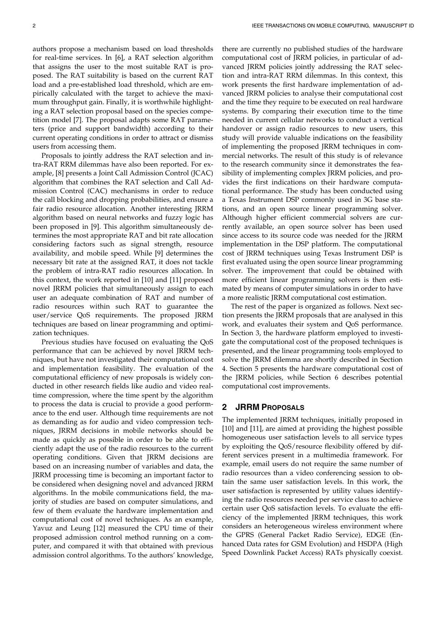authors propose a mechanism based on load thresholds for real-time services. In [6], a RAT selection algorithm that assigns the user to the most suitable RAT is proposed. The RAT suitability is based on the current RAT load and a pre-established load threshold, which are empirically calculated with the target to achieve the maximum throughput gain. Finally, it is worthwhile highlighting a RAT selection proposal based on the species competition model [7]. The proposal adapts some RAT parameters (price and support bandwidth) according to their current operating conditions in order to attract or dismiss users from accessing them.

Proposals to jointly address the RAT selection and intra-RAT RRM dilemmas have also been reported. For example, [8] presents a Joint Call Admission Control (JCAC) algorithm that combines the RAT selection and Call Admission Control (CAC) mechanisms in order to reduce the call blocking and dropping probabilities, and ensure a fair radio resource allocation. Another interesting JRRM algorithm based on neural networks and fuzzy logic has been proposed in [9]. This algorithm simultaneously determines the most appropriate RAT and bit rate allocation considering factors such as signal strength, resource availability, and mobile speed. While [9] determines the necessary bit rate at the assigned RAT, it does not tackle the problem of intra-RAT radio resources allocation. In this context, the work reported in [10] and [11] proposed novel JRRM policies that simultaneously assign to each user an adequate combination of RAT and number of radio resources within such RAT to guarantee the user/service QoS requirements. The proposed JRRM techniques are based on linear programming and optimization techniques.

Previous studies have focused on evaluating the QoS performance that can be achieved by novel JRRM techniques, but have not investigated their computational cost and implementation feasibility. The evaluation of the computational efficiency of new proposals is widely conducted in other research fields like audio and video realtime compression, where the time spent by the algorithm to process the data is crucial to provide a good performance to the end user. Although time requirements are not as demanding as for audio and video compression techniques, JRRM decisions in mobile networks should be made as quickly as possible in order to be able to efficiently adapt the use of the radio resources to the current operating conditions. Given that JRRM decisions are based on an increasing number of variables and data, the JRRM processing time is becoming an important factor to be considered when designing novel and advanced JRRM algorithms. In the mobile communications field, the majority of studies are based on computer simulations, and few of them evaluate the hardware implementation and computational cost of novel techniques. As an example, Yavuz and Leung [12] measured the CPU time of their proposed admission control method running on a computer, and compared it with that obtained with previous admission control algorithms. To the authors' knowledge,

there are currently no published studies of the hardware computational cost of JRRM policies, in particular of advanced JRRM policies jointly addressing the RAT selection and intra-RAT RRM dilemmas. In this context, this work presents the first hardware implementation of advanced JRRM policies to analyse their computational cost and the time they require to be executed on real hardware systems. By comparing their execution time to the time needed in current cellular networks to conduct a vertical handover or assign radio resources to new users, this study will provide valuable indications on the feasibility of implementing the proposed JRRM techniques in commercial networks. The result of this study is of relevance to the research community since it demonstrates the feasibility of implementing complex JRRM policies, and provides the first indications on their hardware computational performance. The study has been conducted using a Texas Instrument DSP commonly used in 3G base stations, and an open source linear programming solver. Although higher efficient commercial solvers are currently available, an open source solver has been used since access to its source code was needed for the JRRM implementation in the DSP platform. The computational cost of JRRM techniques using Texas Instrument DSP is first evaluated using the open source linear programming solver. The improvement that could be obtained with more efficient linear programming solvers is then estimated by means of computer simulations in order to have a more realistic JRRM computational cost estimation.

The rest of the paper is organized as follows. Next section presents the JRRM proposals that are analysed in this work, and evaluates their system and QoS performance. In Section 3, the hardware platform employed to investigate the computational cost of the proposed techniques is presented, and the linear programming tools employed to solve the JRRM dilemma are shortly described in Section 4. Section 5 presents the hardware computational cost of the JRRM policies, while Section 6 describes potential computational cost improvements.

## **2 JRRM PROPOSALS**

The implemented JRRM techniques, initially proposed in [10] and [11], are aimed at providing the highest possible homogeneous user satisfaction levels to all service types by exploiting the QoS/resource flexibility offered by different services present in a multimedia framework. For example, email users do not require the same number of radio resources than a video conferencing session to obtain the same user satisfaction levels. In this work, the user satisfaction is represented by utility values identifying the radio resources needed per service class to achieve certain user QoS satisfaction levels. To evaluate the efficiency of the implemented JRRM techniques, this work considers an heterogeneous wireless environment where the GPRS (General Packet Radio Service), EDGE (Enhanced Data rates for GSM Evolution) and HSDPA (High Speed Downlink Packet Access) RATs physically coexist.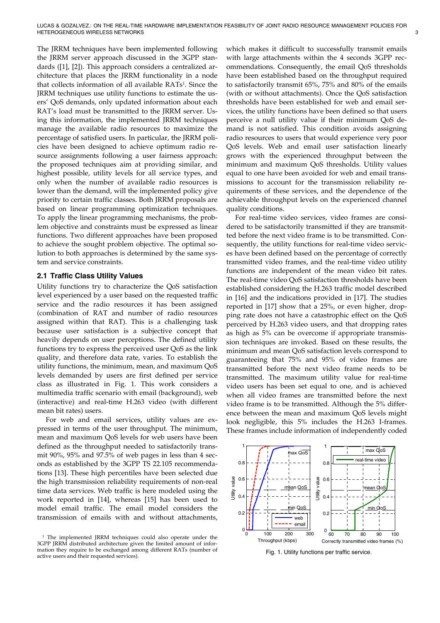The JRRM techniques have been implemented following the JRRM server approach discussed in the 3GPP standards ([1], [2]). This approach considers a centralized architecture that places the JRRM functionality in a node that collects information of all available RATs<sup>1</sup>. Since the JRRM techniques use utility functions to estimate the users' QoS demands, only updated information about each RAT's load must be transmitted to the JRRM server. Using this information, the implemented JRRM techniques manage the available radio resources to maximize the percentage of satisfied users. In particular, the JRRM policies have been designed to achieve optimum radio resource assignments following a user fairness approach: the proposed techniques aim at providing similar, and highest possible, utility levels for all service types, and only when the number of available radio resources is lower than the demand, will the implemented policy give priority to certain traffic classes. Both JRRM proposals are based on linear programming optimization techniques. To apply the linear programming mechanisms, the problem objective and constraints must be expressed as linear functions. Two different approaches have been proposed to achieve the sought problem objective. The optimal solution to both approaches is determined by the same system and service constraints.

#### **2.1 Traffic Class Utility Values**

Utility functions try to characterize the QoS satisfaction level experienced by a user based on the requested traffic service and the radio resources it has been assigned (combination of RAT and number of radio resources assigned within that RAT). This is a challenging task because user satisfaction is a subjective concept that heavily depends on user perceptions. The defined utility functions try to express the perceived user QoS as the link quality, and therefore data rate, varies. To establish the utility functions, the minimum, mean, and maximum QoS levels demanded by users are first defined per service class as illustrated in Fig. 1. This work considers a multimedia traffic scenario with email (background), web (interactive) and real-time H.263 video (with different mean bit rates) users.

For web and email services, utility values are expressed in terms of the user throughput. The minimum, mean and maximum QoS levels for web users have been defined as the throughput needed to satisfactorily transmit 90%, 95% and 97.5% of web pages in less than 4 seconds as established by the 3GPP TS 22.105 recommendations [13]. These high percentiles have been selected due the high transmission reliability requirements of non-real time data services. Web traffic is here modeled using the work reported in [14], whereas [15] has been used to model email traffic. The email model considers the transmission of emails with and without attachments,

which makes it difficult to successfully transmit emails with large attachments within the 4 seconds 3GPP recommendations. Consequently, the email QoS thresholds have been established based on the throughput required to satisfactorily transmit 65%, 75% and 80% of the emails (with or without attachments). Once the QoS satisfaction thresholds have been established for web and email services, the utility functions have been defined so that users perceive a null utility value if their minimum QoS demand is not satisfied. This condition avoids assigning radio resources to users that would experience very poor QoS levels. Web and email user satisfaction linearly grows with the experienced throughput between the minimum and maximum QoS thresholds. Utility values equal to one have been avoided for web and email transmissions to account for the transmission reliability requirements of these services, and the dependence of the achievable throughput levels on the experienced channel quality conditions.

For real-time video services, video frames are considered to be satisfactorily transmitted if they are transmitted before the next video frame is to be transmitted. Consequently, the utility functions for real-time video services have been defined based on the percentage of correctly transmitted video frames, and the real-time video utility functions are independent of the mean video bit rates. The real-time video QoS satisfaction thresholds have been established considering the H.263 traffic model described in [16] and the indications provided in [17]. The studies reported in [17] show that a 25%, or even higher, dropping rate does not have a catastrophic effect on the QoS perceived by H.263 video users, and that dropping rates as high as 5% can be overcome if appropriate transmission techniques are invoked. Based on these results, the minimum and mean QoS satisfaction levels correspond to guaranteeing that 75% and 95% of video frames are transmitted before the next video frame needs to be transmitted. The maximum utility value for real-time video users has been set equal to one, and is achieved when all video frames are transmitted before the next video frame is to be transmitted. Although the 5% difference between the mean and maximum QoS levels might look negligible, this 5% includes the H.263 I-frames. These frames include information of independently coded



Fig. 1. Utility functions per traffic service.

<sup>&</sup>lt;sup>1</sup> The implemented JRRM techniques could also operate under the 3GPP JRRM distributed architecture given the limited amount of information they require to be exchanged among different RATs (number of active users and their requested services).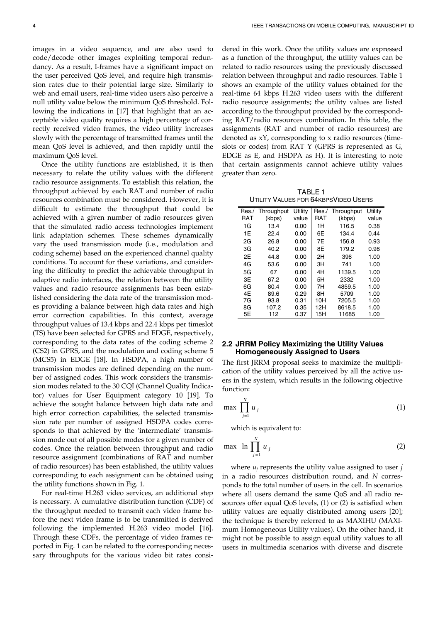images in a video sequence, and are also used to code/decode other images exploiting temporal redundancy. As a result, I-frames have a significant impact on the user perceived QoS level, and require high transmission rates due to their potential large size. Similarly to web and email users, real-time video users also perceive a null utility value below the minimum QoS threshold. Following the indications in [17] that highlight that an acceptable video quality requires a high percentage of correctly received video frames, the video utility increases slowly with the percentage of transmitted frames until the mean QoS level is achieved, and then rapidly until the maximum QoS level.

Once the utility functions are established, it is then necessary to relate the utility values with the different radio resource assignments. To establish this relation, the throughput achieved by each RAT and number of radio resources combination must be considered. However, it is difficult to estimate the throughput that could be achieved with a given number of radio resources given that the simulated radio access technologies implement link adaptation schemes. These schemes dynamically vary the used transmission mode (i.e., modulation and coding scheme) based on the experienced channel quality conditions. To account for these variations, and considering the difficulty to predict the achievable throughput in adaptive radio interfaces, the relation between the utility values and radio resource assignments has been established considering the data rate of the transmission modes providing a balance between high data rates and high error correction capabilities. In this context, average throughput values of 13.4 kbps and 22.4 kbps per timeslot (TS) have been selected for GPRS and EDGE, respectively, corresponding to the data rates of the coding scheme 2 (CS2) in GPRS, and the modulation and coding scheme 5 (MCS5) in EDGE [18]. In HSDPA, a high number of transmission modes are defined depending on the number of assigned codes. This work considers the transmission modes related to the 30 CQI (Channel Quality Indicator) values for User Equipment category 10 [19]. To achieve the sought balance between high data rate and high error correction capabilities, the selected transmission rate per number of assigned HSDPA codes corresponds to that achieved by the 'intermediate' transmission mode out of all possible modes for a given number of codes. Once the relation between throughput and radio resource assignment (combinations of RAT and number of radio resources) has been established, the utility values corresponding to each assignment can be obtained using the utility functions shown in Fig. 1.

For real-time H.263 video services, an additional step is necessary. A cumulative distribution function (CDF) of the throughput needed to transmit each video frame before the next video frame is to be transmitted is derived following the implemented H.263 video model [16]. Through these CDFs, the percentage of video frames reported in Fig. 1 can be related to the corresponding necessary throughputs for the various video bit rates considered in this work. Once the utility values are expressed as a function of the throughput, the utility values can be related to radio resources using the previously discussed relation between throughput and radio resources. Table 1 shows an example of the utility values obtained for the real-time 64 kbps H.263 video users with the different radio resource assignments; the utility values are listed according to the throughput provided by the corresponding RAT/radio resources combination. In this table, the assignments (RAT and number of radio resources) are denoted as xY, corresponding to x radio resources (timeslots or codes) from RAT Y (GPRS is represented as G, EDGE as E, and HSDPA as H). It is interesting to note that certain assignments cannot achieve utility values greater than zero.

TABLE 1 UTILITY VALUES FOR 64KBPSVIDEO USERS

| Res./ | Throughput | Utility | Res./ | Throughput | Utility |
|-------|------------|---------|-------|------------|---------|
| RAT   | (kbps)     | value   | RAT   | (kbps)     | value   |
| 1G    | 13.4       | 0.00    | 1H    | 116.5      | 0.38    |
| 1E    | 22.4       | 0.00    | 6E    | 134.4      | 0.44    |
| 2G    | 26.8       | 0.00    | 7E    | 156.8      | 0.93    |
| 3G    | 40.2       | 0.00    | 8E    | 179.2      | 0.98    |
| 2E    | 44.8       | 0.00    | 2H    | 396        | 1.00    |
| 4G    | 53.6       | 0.00    | 3H    | 741        | 1.00    |
| 5G    | 67         | 0.00    | 4H    | 1139.5     | 1.00    |
| 3E    | 67.2       | 0.00    | 5H    | 2332       | 1.00    |
| 6G    | 80.4       | 0.00    | 7H    | 4859.5     | 1.00    |
| 4E    | 89.6       | 0.29    | 8H    | 5709       | 1.00    |
| 7G    | 93.8       | 0.31    | 10H   | 7205.5     | 1.00    |
| 8G    | 107.2      | 0.35    | 12H   | 8618.5     | 1.00    |
| 5E    | 112        | 0.37    | 15H   | 11685      | 1.00    |

#### **2.2 JRRM Policy Maximizing the Utility Values Homogeneously Assigned to Users**

The first JRRM proposal seeks to maximize the multiplication of the utility values perceived by all the active users in the system, which results in the following objective function:

$$
\max \prod_{j=1}^{N} u_j \tag{1}
$$

which is equivalent to:

$$
\max \ln \prod_{j=1}^{N} u_j \tag{2}
$$

where  $u_j$  represents the utility value assigned to user  $j$ in a radio resources distribution round, and *N* corresponds to the total number of users in the cell. In scenarios where all users demand the same QoS and all radio resources offer equal QoS levels, (1) or (2) is satisfied when utility values are equally distributed among users [20]; the technique is thereby referred to as MAXIHU (MAXImum Homogeneous Utility values). On the other hand, it might not be possible to assign equal utility values to all users in multimedia scenarios with diverse and discrete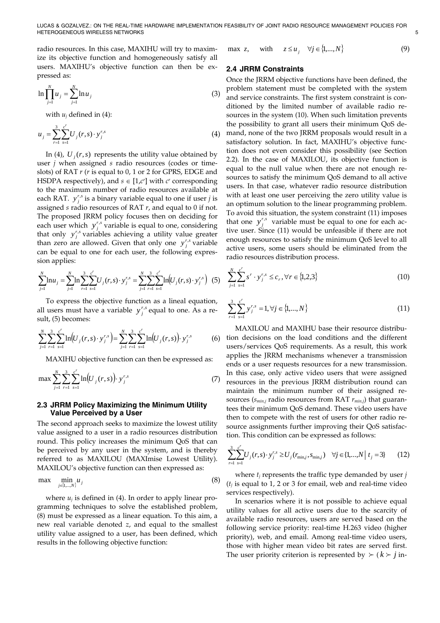radio resources. In this case, MAXIHU will try to maximize its objective function and homogeneously satisfy all users. MAXIHU's objective function can then be expressed as:

$$
\ln \prod_{j=1}^{N} u_j = \sum_{j=1}^{N} \ln u_j
$$
 (3)

with *uj* defined in (4):

$$
u_j = \sum_{r=1}^{3} \sum_{s=1}^{c^r} U_j(r,s) \cdot y_j^{r,s}
$$
 (4)

In (4),  $U_i(r,s)$  represents the utility value obtained by user *j* when assigned *s* radio resources (codes or timeslots) of RAT *r* (*r* is equal to 0, 1 or 2 for GPRS, EDGE and HSDPA respectively), and  $s \in [1,c^r]$  with  $c^r$  corresponding to the maximum number of radio resources available at each RAT.  $y_j^{r,s}$  is a binary variable equal to one if user *j* is assigned *s* radio resources of RAT *r*, and equal to 0 if not. The proposed JRRM policy focuses then on deciding for each user which  $y_j^{r,s}$  variable is equal to one, considering that only  $y_j^{r,s}$  variables achieving a utility value greater than zero are allowed. Given that only one  $y_j^{r,s}$  variable can be equal to one for each user, the following expression applies:

$$
\sum_{j=1}^{N} \ln u_j = \sum_{j=1}^{N} \ln \sum_{r=1}^{3} \sum_{s=1}^{c^r} U_j(r,s) \cdot y_j^{r,s} = \sum_{j=1}^{N} \sum_{r=1}^{3} \sum_{s=1}^{c^r} \ln \left( U_j(r,s) \cdot y_j^{r,s} \right) (5)
$$

To express the objective function as a lineal equation, all users must have a variable  $y_j^{r,s}$  equal to one. As a result, (5) becomes:

$$
\sum_{j=1}^{N} \sum_{r=1}^{3} \sum_{s=1}^{c^{r}} \ln(U_{j}(r,s) \cdot y_{j}^{r,s}) = \sum_{j=1}^{N} \sum_{r=1}^{3} \sum_{s=1}^{c^{r}} \ln(U_{j}(r,s)) \cdot y_{j}^{r,s}
$$
(6)

MAXIHU objective function can then be expressed as:

$$
\max \sum_{j=1}^{N} \sum_{r=1}^{3} \sum_{s=1}^{c^{r}} \ln(U_{j}(r,s)) \cdot y_{j}^{r,s}
$$
 (7)

#### **2.3 JRRM Policy Maximizing the Minimum Utility Value Perceived by a User**

The second approach seeks to maximize the lowest utility value assigned to a user in a radio resources distribution round. This policy increases the minimum QoS that can be perceived by any user in the system, and is thereby referred to as MAXILOU (MAXImise Lowest Utility). MAXILOU's objective function can then expressed as:

$$
\max \quad \min_{j \in \{1, \ldots, N\}} u_j \tag{8}
$$

where  $u_i$  is defined in (4). In order to apply linear programming techniques to solve the established problem, (8) must be expressed as a linear equation. To this aim, a new real variable denoted *z*, and equal to the smallest utility value assigned to a user, has been defined, which results in the following objective function:

$$
\max z, \quad \text{with} \quad z \le u_j \quad \forall j \in \{1, ..., N\} \tag{9}
$$

#### **2.4 JRRM Constraints**

Once the JRRM objective functions have been defined, the problem statement must be completed with the system and service constraints. The first system constraint is conditioned by the limited number of available radio resources in the system (10). When such limitation prevents the possibility to grant all users their minimum QoS demand, none of the two JRRM proposals would result in a satisfactory solution. In fact, MAXIHU's objective function does not even consider this possibility (see Section 2.2). In the case of MAXILOU, its objective function is equal to the null value when there are not enough resources to satisfy the minimum QoS demand to all active users. In that case, whatever radio resource distribution with at least one user perceiving the zero utility value is an optimum solution to the linear programming problem. To avoid this situation, the system constraint (11) imposes that one  $y_j^{r,s}$  variable must be equal to one for each active user. Since (11) would be unfeasible if there are not enough resources to satisfy the minimum QoS level to all active users, some users should be eliminated from the radio resources distribution process.

$$
\sum_{j=1}^{N} \sum_{s=1}^{c^r} s^r \cdot y_j^{r,s} \le c_r, \forall r \in \{1,2,3\}
$$
 (10)

$$
\sum_{r=1}^{3} \sum_{s=1}^{c^r} y_j^{r,s} = 1, \forall j \in \{1, ..., N\}
$$
 (11)

MAXILOU and MAXIHU base their resource distribution decisions on the load conditions and the different users/services QoS requirements. As a result, this work applies the JRRM mechanisms whenever a transmission ends or a user requests resources for a new transmission. In this case, only active video users that were assigned resources in the previous JRRM distribution round can maintain the minimum number of their assigned resources (*smin,j* radio resources from RAT *rmin,j*) that guarantees their minimum QoS demand. These video users have then to compete with the rest of users for other radio resource assignments further improving their QoS satisfaction. This condition can be expressed as follows:

$$
\sum_{r=1}^{3} \sum_{s=1}^{c^{r}} U_j(r,s) \cdot y_j^{r,s} \ge U_j(r_{\min,j}, s_{\min,j}) \quad \forall j \in \{1, ..., N \mid t_j = 3\}
$$
 (12)

where  $t_i$  represents the traffic type demanded by user  $j$  $(t<sub>i</sub>$  is equal to 1, 2 or 3 for email, web and real-time video services respectively).

In scenarios where it is not possible to achieve equal utility values for all active users due to the scarcity of available radio resources, users are served based on the following service priority: real-time H.263 video (higher priority), web, and email. Among real-time video users, those with higher mean video bit rates are served first. The user priority criterion is represented by  $\succeq (k \succ j)$  in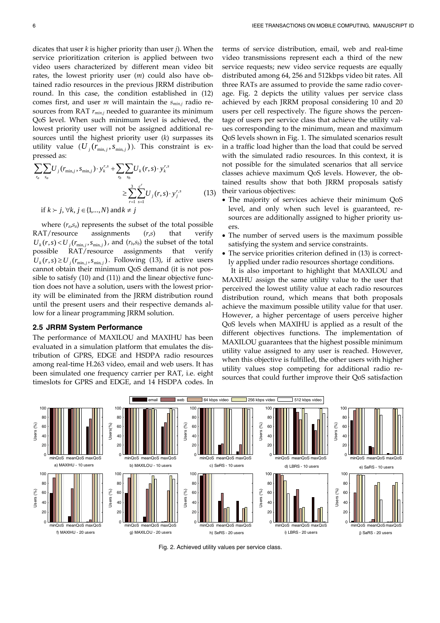dicates that user *k* is higher priority than user *j*). When the service prioritization criterion is applied between two video users characterized by different mean video bit rates, the lowest priority user (*m*) could also have obtained radio resources in the previous JRRM distribution round. In this case, the condition established in (12) comes first, and user *m* will maintain the *smin,j* radio resources from RAT  $r_{min,j}$  needed to guarantee its minimum QoS level. When such minimum level is achieved, the lowest priority user will not be assigned additional resources until the highest priority user (*k*) surpasses its utility value  $(U_i(r_{\min,i}, s_{\min,i}))$ . This constraint is expressed as:

$$
\sum_{r_a} \sum_{s_a} U_j(r_{\min,j}, s_{\min,j}) \cdot y_k^{r,s} + \sum_{r_b} \sum_{s_b} U_k(r, s) \cdot y_k^{r,s}
$$
  

$$
\geq \sum_{r=1}^3 \sum_{s=1}^{c^r} U_j(r, s) \cdot y_j^{r,s} \qquad (13)
$$
  
if  $k > j$ ,  $\forall k, j \in \{1, ..., N\}$  and  $k \neq j$ 

where  $(r_a, s_a)$  represents the subset of the total possible RAT/resource assignments (*r*,*s*) that verify  $U_k(r, s) < U_j(r_{\min,j}, s_{\min,j})$ , and  $(r_b, s_b)$  the subset of the total possible RAT/resource assignments that verify  $U_k(r, s) \ge U_j(r_{\min, i}, s_{\min, i})$ . Following (13), if active users cannot obtain their minimum QoS demand (it is not possible to satisfy (10) and (11)) and the linear objective function does not have a solution, users with the lowest priority will be eliminated from the JRRM distribution round until the present users and their respective demands allow for a linear programming JRRM solution.

### **2.5 JRRM System Performance**

The performance of MAXILOU and MAXIHU has been evaluated in a simulation platform that emulates the distribution of GPRS, EDGE and HSDPA radio resources among real-time H.263 video, email and web users. It has been simulated one frequency carrier per RAT, i.e. eight timeslots for GPRS and EDGE, and 14 HSDPA codes. In

terms of service distribution, email, web and real-time video transmissions represent each a third of the new service requests; new video service requests are equally distributed among 64, 256 and 512kbps video bit rates. All three RATs are assumed to provide the same radio coverage. Fig. 2 depicts the utility values per service class achieved by each JRRM proposal considering 10 and 20 users per cell respectively. The figure shows the percentage of users per service class that achieve the utility values corresponding to the minimum, mean and maximum QoS levels shown in Fig. 1. The simulated scenarios result in a traffic load higher than the load that could be served with the simulated radio resources. In this context, it is not possible for the simulated scenarios that all service classes achieve maximum QoS levels. However, the obtained results show that both JRRM proposals satisfy their various objectives:

- The majority of services achieve their minimum QoS level, and only when such level is guaranteed, resources are additionally assigned to higher priority users.
- The number of served users is the maximum possible satisfying the system and service constraints.
- The service priorities criterion defined in (13) is correctly applied under radio resources shortage conditions.

It is also important to highlight that MAXILOU and MAXIHU assign the same utility value to the user that perceived the lowest utility value at each radio resources distribution round, which means that both proposals achieve the maximum possible utility value for that user. However, a higher percentage of users perceive higher QoS levels when MAXIHU is applied as a result of the different objectives functions. The implementation of MAXILOU guarantees that the highest possible minimum utility value assigned to any user is reached. However, when this objective is fulfilled, the other users with higher utility values stop competing for additional radio resources that could further improve their QoS satisfaction



Fig. 2. Achieved utility values per service class.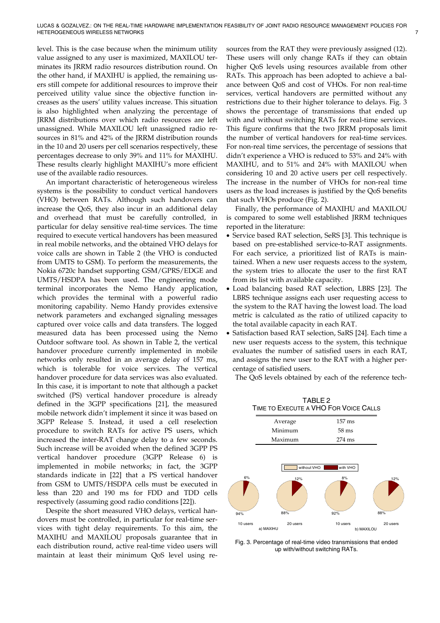level. This is the case because when the minimum utility value assigned to any user is maximized, MAXILOU terminates its JRRM radio resources distribution round. On the other hand, if MAXIHU is applied, the remaining users still compete for additional resources to improve their perceived utility value since the objective function increases as the users' utility values increase. This situation is also highlighted when analyzing the percentage of JRRM distributions over which radio resources are left unassigned. While MAXILOU left unassigned radio resources in 81% and 42% of the JRRM distribution rounds in the 10 and 20 users per cell scenarios respectively, these percentages decrease to only 39% and 11% for MAXIHU. These results clearly highlight MAXIHU's more efficient use of the available radio resources.

An important characteristic of heterogeneous wireless systems is the possibility to conduct vertical handovers (VHO) between RATs. Although such handovers can increase the QoS, they also incur in an additional delay and overhead that must be carefully controlled, in particular for delay sensitive real-time services. The time required to execute vertical handovers has been measured in real mobile networks, and the obtained VHO delays for voice calls are shown in Table 2 (the VHO is conducted from UMTS to GSM). To perform the measurements, the Nokia 6720c handset supporting GSM/GPRS/EDGE and UMTS/HSDPA has been used. The engineering mode terminal incorporates the Nemo Handy application, which provides the terminal with a powerful radio monitoring capability. Nemo Handy provides extensive network parameters and exchanged signaling messages captured over voice calls and data transfers. The logged measured data has been processed using the Nemo Outdoor software tool. As shown in Table 2, the vertical handover procedure currently implemented in mobile networks only resulted in an average delay of 157 ms, which is tolerable for voice services. The vertical handover procedure for data services was also evaluated. In this case, it is important to note that although a packet switched (PS) vertical handover procedure is already defined in the 3GPP specifications [21], the measured mobile network didn't implement it since it was based on 3GPP Release 5. Instead, it used a cell reselection procedure to switch RATs for active PS users, which increased the inter-RAT change delay to a few seconds. Such increase will be avoided when the defined 3GPP PS vertical handover procedure (3GPP Release 6) is implemented in mobile networks; in fact, the 3GPP standards indicate in [22] that a PS vertical handover from GSM to UMTS/HSDPA cells must be executed in less than 220 and 190 ms for FDD and TDD cells respectively (assuming good radio conditions [22]).

Despite the short measured VHO delays, vertical handovers must be controlled, in particular for real-time services with tight delay requirements. To this aim, the MAXIHU and MAXILOU proposals guarantee that in each distribution round, active real-time video users will maintain at least their minimum QoS level using resources from the RAT they were previously assigned (12). These users will only change RATs if they can obtain higher QoS levels using resources available from other RATs. This approach has been adopted to achieve a balance between QoS and cost of VHOs. For non real-time services, vertical handovers are permitted without any restrictions due to their higher tolerance to delays. Fig. 3 shows the percentage of transmissions that ended up with and without switching RATs for real-time services. This figure confirms that the two JRRM proposals limit the number of vertical handovers for real-time services. For non-real time services, the percentage of sessions that didn't experience a VHO is reduced to 53% and 24% with MAXIHU, and to 51% and 24% with MAXILOU when considering 10 and 20 active users per cell respectively. The increase in the number of VHOs for non-real time users as the load increases is justified by the QoS benefits that such VHOs produce (Fig. 2).

Finally, the performance of MAXIHU and MAXILOU is compared to some well established JRRM techniques reported in the literature:

- Service based RAT selection, SeRS [3]. This technique is based on pre-established service-to-RAT assignments. For each service, a prioritized list of RATs is maintained. When a new user requests access to the system, the system tries to allocate the user to the first RAT from its list with available capacity.
- Load balancing based RAT selection, LBRS [23]. The LBRS technique assigns each user requesting access to the system to the RAT having the lowest load. The load metric is calculated as the ratio of utilized capacity to the total available capacity in each RAT.
- Satisfaction based RAT selection, SaRS [24]. Each time a new user requests access to the system, this technique evaluates the number of satisfied users in each RAT, and assigns the new user to the RAT with a higher percentage of satisfied users.

The QoS levels obtained by each of the reference tech-

TABLE 2 TIME TO EXECUTE A VHO FOR VOICE CALLS

Average 157 ms Minimum 58 ms Maximum 274 ms



Fig. 3. Percentage of real-time video transmissions that ended up with/without switching RATs.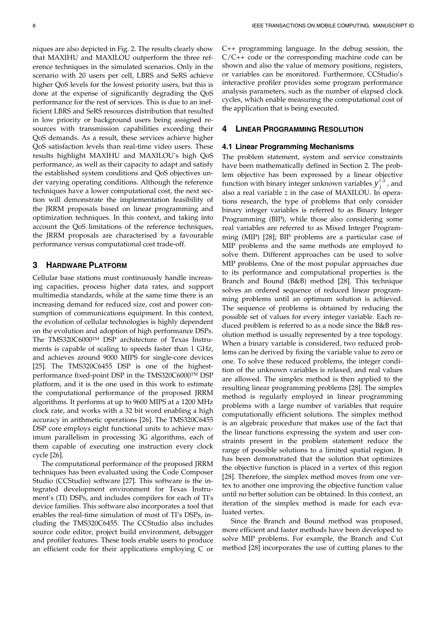niques are also depicted in Fig. 2. The results clearly show that MAXIHU and MAXILOU outperform the three reference techniques in the simulated scenarios. Only in the scenario with 20 users per cell, LBRS and SeRS achieve higher QoS levels for the lowest priority users, but this is done at the expense of significantly degrading the QoS performance for the rest of services. This is due to an inefficient LBRS and SeRS resources distribution that resulted in low priority or background users being assigned resources with transmission capabilities exceeding their QoS demands. As a result, these services achieve higher QoS satisfaction levels than real-time video users. These results highlight MAXIHU and MAXILOU's high QoS performance, as well as their capacity to adapt and satisfy the established system conditions and QoS objectives under varying operating conditions. Although the reference techniques have a lower computational cost, the next section will demonstrate the implementation feasibility of the JRRM proposals based on linear programming and optimization techniques. In this context, and taking into account the QoS limitations of the reference techniques, the JRRM proposals are characterised by a favourable performance versus computational cost trade-off.

## **3 HARDWARE PLATFORM**

Cellular base stations must continuously handle increasing capacities, process higher data rates, and support multimedia standards, while at the same time there is an increasing demand for reduced size, cost and power consumption of communications equipment. In this context, the evolution of cellular technologies is highly dependent on the evolution and adoption of high performance DSPs. The TMS320C6000TM DSP architecture of Texas Instruments is capable of scaling to speeds faster than 1 GHz, and achieves around 9000 MIPS for single-core devices [25]. The TMS320C6455 DSP is one of the highestperformance fixed-point DSP in the TMS320C6000TM DSP platform, and it is the one used in this work to estimate the computational performance of the proposed JRRM algorithms. It performs at up to 9600 MIPS at a 1200 MHz clock rate, and works with a 32 bit word enabling a high accuracy in arithmetic operations [26]. The TMS320C6455 DSP core employs eight functional units to achieve maximum parallelism in processing 3G algorithms, each of them capable of executing one instruction every clock cycle [26].

The computational performance of the proposed JRRM techniques has been evaluated using the Code Composer Studio (CCStudio) software [27]. This software is the integrated development environment for Texas Instrument's (TI) DSPs, and includes compilers for each of TI's device families. This software also incorporates a tool that enables the real-time simulation of most of TI's DSPs, including the TMS320C6455. The CCStudio also includes source code editor, project build environment, debugger and profiler features. These tools enable users to produce an efficient code for their applications employing C or

C++ programming language. In the debug session, the C/C++ code or the corresponding machine code can be shown and also the value of memory positions, registers, or variables can be monitored. Furthermore, CCStudio's interactive profiler provides some program performance analysis parameters, such as the number of elapsed clock cycles, which enable measuring the computational cost of the application that is being executed.

# **4 LINEAR PROGRAMMING RESOLUTION**

## **4.1 Linear Programming Mechanisms**

The problem statement, system and service constraints have been mathematically defined in Section 2. The problem objective has been expressed by a linear objective function with binary integer unknown variables  $y_j^{r,s}$ , and also a real variable *z* in the case of MAXILOU. In operations research, the type of problems that only consider binary integer variables is referred to as Binary Integer Programming (BIP), while those also considering some real variables are referred to as Mixed Integer Programming (MIP) [28]; BIP problems are a particular case of MIP problems and the same methods are employed to solve them. Different approaches can be used to solve MIP problems. One of the most popular approaches due to its performance and computational properties is the Branch and Bound (B&B) method [28]. This technique solves an ordered sequence of reduced linear programming problems until an optimum solution is achieved. The sequence of problems is obtained by reducing the possible set of values for every integer variable. Each reduced problem is referred to as a node since the B&B resolution method is usually represented by a tree topology. When a binary variable is considered, two reduced problems can be derived by fixing the variable value to zero or one. To solve these reduced problems, the integer condition of the unknown variables is relaxed, and real values are allowed. The simplex method is then applied to the resulting linear programming problems [28]. The simplex method is regularly employed in linear programming problems with a large number of variables that require computationally efficient solutions. The simplex method is an algebraic procedure that makes use of the fact that the linear functions expressing the system and user constraints present in the problem statement reduce the range of possible solutions to a limited spatial region. It has been demonstrated that the solution that optimizes the objective function is placed in a vertex of this region [28]. Therefore, the simplex method moves from one vertex to another one improving the objective function value until no better solution can be obtained. In this context, an iteration of the simplex method is made for each evaluated vertex.

Since the Branch and Bound method was proposed, more efficient and faster methods have been developed to solve MIP problems. For example, the Branch and Cut method [28] incorporates the use of cutting planes to the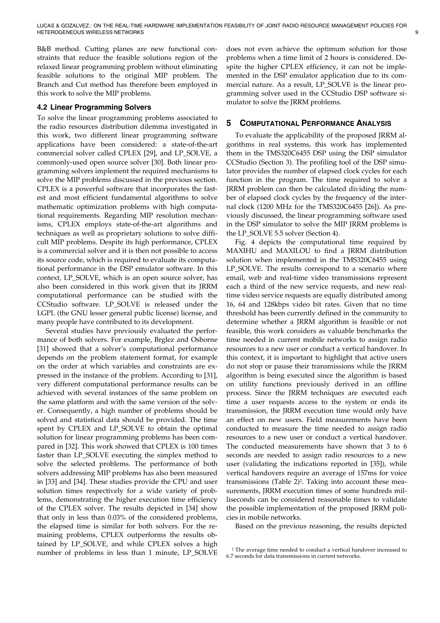B&B method. Cutting planes are new functional constraints that reduce the feasible solutions region of the relaxed linear programming problem without eliminating feasible solutions to the original MIP problem. The Branch and Cut method has therefore been employed in this work to solve the MIP problems.

#### **4.2 Linear Programming Solvers**

To solve the linear programming problems associated to the radio resources distribution dilemma investigated in this work, two different linear programming software applications have been considered: a state-of-the-art commercial solver called CPLEX [29], and LP\_SOLVE, a commonly-used open source solver [30]. Both linear programming solvers implement the required mechanisms to solve the MIP problems discussed in the previous section. CPLEX is a powerful software that incorporates the fastest and most efficient fundamental algorithms to solve mathematic optimization problems with high computational requirements. Regarding MIP resolution mechanisms, CPLEX employs state-of-the-art algorithms and techniques as well as proprietary solutions to solve difficult MIP problems. Despite its high performance, CPLEX is a commercial solver and it is then not possible to access its source code, which is required to evaluate its computational performance in the DSP emulator software. In this context, LP\_SOLVE, which is an open source solver, has also been considered in this work given that its JRRM computational performance can be studied with the CCStudio software. LP\_SOLVE is released under the LGPL (the GNU lesser general public license) license, and many people have contributed to its development.

Several studies have previously evaluated the performance of both solvers. For example, Brglez and Osborne [31] showed that a solver's computational performance depends on the problem statement format, for example on the order at which variables and constraints are expressed in the instance of the problem. According to [31], very different computational performance results can be achieved with several instances of the same problem on the same platform and with the same version of the solver. Consequently, a high number of problems should be solved and statistical data should be provided. The time spent by CPLEX and LP\_SOLVE to obtain the optimal solution for linear programming problems has been compared in [32]. This work showed that CPLEX is 100 times faster than LP\_SOLVE executing the simplex method to solve the selected problems. The performance of both solvers addressing MIP problems has also been measured in [33] and [34]. These studies provide the CPU and user solution times respectively for a wide variety of problems, demonstrating the higher execution time efficiency of the CPLEX solver. The results depicted in [34] show that only in less than 0.03% of the considered problems, the elapsed time is similar for both solvers. For the remaining problems, CPLEX outperforms the results obtained by LP\_SOLVE, and while CPLEX solves a high number of problems in less than 1 minute, LP\_SOLVE

does not even achieve the optimum solution for those problems when a time limit of 2 hours is considered. Despite the higher CPLEX efficiency, it can not be implemented in the DSP emulator application due to its commercial nature. As a result, LP\_SOLVE is the linear programming solver used in the CCStudio DSP software simulator to solve the JRRM problems.

# **5 COMPUTATIONAL PERFORMANCE ANALYSIS**

To evaluate the applicability of the proposed JRRM algorithms in real systems, this work has implemented them in the TMS320C6455 DSP using the DSP simulator CCStudio (Section 3). The profiling tool of the DSP simulator provides the number of elapsed clock cycles for each function in the program. The time required to solve a JRRM problem can then be calculated dividing the number of elapsed clock cycles by the frequency of the internal clock (1200 MHz for the TMS320C6455 [26]). As previously discussed, the linear programming software used in the DSP simulator to solve the MIP JRRM problems is the LP\_SOLVE 5.5 solver (Section 4).

Fig. 4 depicts the computational time required by MAXIHU and MAXILOU to find a JRRM distribution solution when implemented in the TMS320C6455 using LP\_SOLVE. The results correspond to a scenario where email, web and real-time video transmissions represent each a third of the new service requests, and new realtime video service requests are equally distributed among 16, 64 and 128kbps video bit rates. Given that no time threshold has been currently defined in the community to determine whether a JRRM algorithm is feasible or not feasible, this work considers as valuable benchmarks the time needed in current mobile networks to assign radio resources to a new user or conduct a vertical handover. In this context, it is important to highlight that active users do not stop or pause their transmissions while the JRRM algorithm is being executed since the algorithm is based on utility functions previously derived in an offline process. Since the JRRM techniques are executed each time a user requests access to the system or ends its transmission, the JRRM execution time would only have an effect on new users. Field measurements have been conducted to measure the time needed to assign radio resources to a new user or conduct a vertical handover. The conducted measurements have shown that 3 to 6 seconds are needed to assign radio resources to a new user (validating the indications reported in [35]), while vertical handovers require an average of 157ms for voice transmissions (Table 2)<sup>2</sup>. Taking into account these measurements, JRRM execution times of some hundreds milliseconds can be considered reasonable times to validate the possible implementation of the proposed JRRM policies in mobile networks.

Based on the previous reasoning, the results depicted

<sup>2</sup> The average time needed to conduct a vertical handover increased to 6.7 seconds for data transmissions in current networks.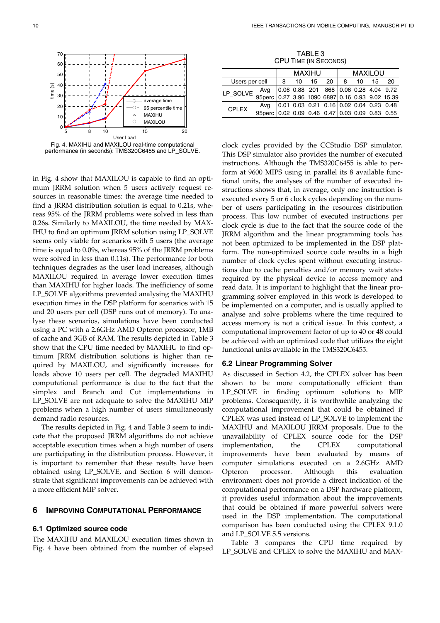

Fig. 4. MAXIHU and MAXILOU real-time computational performance (in seconds): TMS320C6455 and LP\_SOLVE.

in Fig. 4 show that MAXILOU is capable to find an optimum JRRM solution when 5 users actively request resources in reasonable times: the average time needed to find a JRRM distribution solution is equal to 0.21s, whereas 95% of the JRRM problems were solved in less than 0.26s. Similarly to MAXILOU, the time needed by MAX-IHU to find an optimum JRRM solution using LP\_SOLVE seems only viable for scenarios with 5 users (the average time is equal to 0.09s, whereas 95% of the JRRM problems were solved in less than 0.11s). The performance for both techniques degrades as the user load increases, although MAXILOU required in average lower execution times than MAXIHU for higher loads. The inefficiency of some LP\_SOLVE algorithms prevented analysing the MAXIHU execution times in the DSP platform for scenarios with 15 and 20 users per cell (DSP runs out of memory). To analyse these scenarios, simulations have been conducted using a PC with a 2.6GHz AMD Opteron processor, 1MB of cache and 3GB of RAM. The results depicted in Table 3 show that the CPU time needed by MAXIHU to find optimum JRRM distribution solutions is higher than required by MAXILOU, and significantly increases for loads above 10 users per cell. The degraded MAXIHU computational performance is due to the fact that the simplex and Branch and Cut implementations in LP\_SOLVE are not adequate to solve the MAXIHU MIP problems when a high number of users simultaneously demand radio resources.

The results depicted in Fig. 4 and Table 3 seem to indicate that the proposed JRRM algorithms do not achieve acceptable execution times when a high number of users are participating in the distribution process. However, it is important to remember that these results have been obtained using LP\_SOLVE, and Section 6 will demonstrate that significant improvements can be achieved with a more efficient MIP solver.

#### **6 IMPROVING COMPUTATIONAL PERFORMANCE**

#### **6.1 Optimized source code**

The MAXIHU and MAXILOU execution times shown in Fig. 4 have been obtained from the number of elapsed

TABLE 3 CPU TIME (IN SECONDS)

|                | MAXIHU   |  |   | <b>MAXILOU</b> |  |             |  |                                                                                                                                             |
|----------------|----------|--|---|----------------|--|-------------|--|---------------------------------------------------------------------------------------------------------------------------------------------|
| Users per cell |          |  |   |                |  |             |  | -20                                                                                                                                         |
|                |          |  |   |                |  |             |  |                                                                                                                                             |
|                |          |  |   |                |  |             |  |                                                                                                                                             |
| Avg            |          |  |   |                |  |             |  |                                                                                                                                             |
|                |          |  |   |                |  |             |  |                                                                                                                                             |
|                | LP_SOLVE |  | 8 | 10 15          |  | $20 \mid 8$ |  | 10 15<br>0.06 0.88 201 868 0.06 0.28 4.04 9.72<br>0.01 0.03 0.21 0.16 0.02 0.04 0.23 0.48<br>95perc 0.02 0.09 0.46 0.47 0.03 0.09 0.83 0.55 |

clock cycles provided by the CCStudio DSP simulator. This DSP simulator also provides the number of executed instructions. Although the TMS320C6455 is able to perform at 9600 MIPS using in parallel its 8 available functional units, the analyses of the number of executed instructions shows that, in average, only one instruction is executed every 5 or 6 clock cycles depending on the number of users participating in the resources distribution process. This low number of executed instructions per clock cycle is due to the fact that the source code of the JRRM algorithm and the linear programming tools has not been optimized to be implemented in the DSP platform. The non-optimized source code results in a high number of clock cycles spent without executing instructions due to cache penalties and/or memory wait states required by the physical device to access memory and read data. It is important to highlight that the linear programming solver employed in this work is developed to be implemented on a computer, and is usually applied to analyse and solve problems where the time required to access memory is not a critical issue. In this context, a computational improvement factor of up to 40 or 48 could be achieved with an optimized code that utilizes the eight functional units available in the TMS320C6455.

#### **6.2 Linear Programming Solver**

As discussed in Section 4.2, the CPLEX solver has been shown to be more computationally efficient than LP\_SOLVE in finding optimum solutions to MIP problems. Consequently, it is worthwhile analyzing the computational improvement that could be obtained if CPLEX was used instead of LP\_SOLVE to implement the MAXIHU and MAXILOU JRRM proposals. Due to the unavailability of CPLEX source code for the DSP implementation, the CPLEX computational improvements have been evaluated by means of computer simulations executed on a 2.6GHz AMD Opteron processor. Although this evaluation environment does not provide a direct indication of the computational performance on a DSP hardware platform, it provides useful information about the improvements that could be obtained if more powerful solvers were used in the DSP implementation. The computational comparison has been conducted using the CPLEX 9.1.0 and LP\_SOLVE 5.5 versions.

Table 3 compares the CPU time required by LP\_SOLVE and CPLEX to solve the MAXIHU and MAX-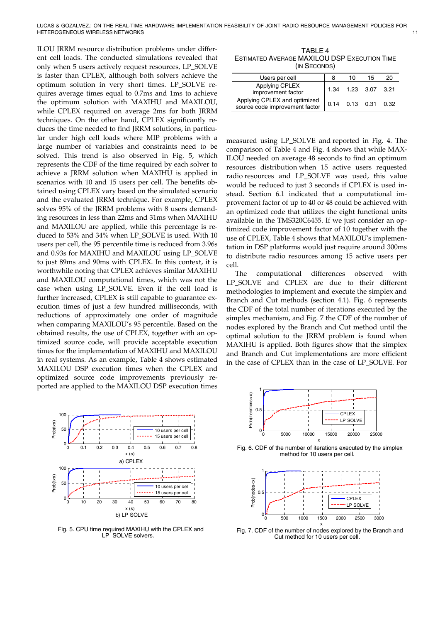ILOU JRRM resource distribution problems under different cell loads. The conducted simulations revealed that only when 5 users actively request resources, LP\_SOLVE is faster than CPLEX, although both solvers achieve the optimum solution in very short times. LP\_SOLVE requires average times equal to 0.7ms and 1ms to achieve the optimum solution with MAXIHU and MAXILOU, while CPLEX required on average 2ms for both JRRM techniques. On the other hand, CPLEX significantly reduces the time needed to find JRRM solutions, in particular under high cell loads where MIP problems with a large number of variables and constraints need to be solved. This trend is also observed in Fig. 5, which represents the CDF of the time required by each solver to achieve a JRRM solution when MAXIHU is applied in scenarios with 10 and 15 users per cell. The benefits obtained using CPLEX vary based on the simulated scenario and the evaluated JRRM technique. For example, CPLEX solves 95% of the JRRM problems with 8 users demanding resources in less than 22ms and 31ms when MAXIHU and MAXILOU are applied, while this percentage is reduced to 53% and 34% when LP\_SOLVE is used. With 10 users per cell, the 95 percentile time is reduced from 3.96s and 0.93s for MAXIHU and MAXILOU using LP\_SOLVE to just 89ms and 90ms with CPLEX. In this context, it is worthwhile noting that CPLEX achieves similar MAXIHU and MAXILOU computational times, which was not the case when using LP\_SOLVE. Even if the cell load is further increased, CPLEX is still capable to guarantee execution times of just a few hundred milliseconds, with reductions of approximately one order of magnitude when comparing MAXILOU's 95 percentile. Based on the obtained results, the use of CPLEX, together with an optimized source code, will provide acceptable execution times for the implementation of MAXIHU and MAXILOU in real systems. As an example, Table 4 shows estimated MAXILOU DSP execution times when the CPLEX and optimized source code improvements previously reported are applied to the MAXILOU DSP execution times



Fig. 5. CPU time required MAXIHU with the CPLEX and LP\_SOLVE solvers.

TABLE 4 ESTIMATED AVERAGE MAXILOU DSP EXECUTION TIME (IN SECONDS)

| Users per cell                                                 | 10                          | 15 |  |
|----------------------------------------------------------------|-----------------------------|----|--|
| Applying CPLEX<br>improvement factor                           | 1.34 1.23 3.07 3.21         |    |  |
| Applying CPLEX and optimized<br>source code improvement factor | $0.14$ $0.13$ $0.31$ $0.32$ |    |  |

measured using LP\_SOLVE and reported in Fig. 4. The comparison of Table 4 and Fig. 4 shows that while MAX-ILOU needed on average 48 seconds to find an optimum resources distribution when 15 active users requested radio resources and LP\_SOLVE was used, this value would be reduced to just 3 seconds if CPLEX is used instead. Section 6.1 indicated that a computational improvement factor of up to 40 or 48 could be achieved with an optimized code that utilizes the eight functional units available in the TMS320C6455. If we just consider an optimized code improvement factor of 10 together with the use of CPLEX, Table 4 shows that MAXILOU's implementation in DSP platforms would just require around 300ms to distribute radio resources among 15 active users per cell.

The computational differences observed with LP\_SOLVE and CPLEX are due to their different methodologies to implement and execute the simplex and Branch and Cut methods (section 4.1). Fig. 6 represents the CDF of the total number of iterations executed by the simplex mechanism, and Fig. 7 the CDF of the number of nodes explored by the Branch and Cut method until the optimal solution to the JRRM problem is found when MAXIHU is applied. Both figures show that the simplex and Branch and Cut implementations are more efficient in the case of CPLEX than in the case of LP\_SOLVE. For



Fig. 6. CDF of the number of iterations executed by the simplex method for 10 users per cell.



Fig. 7. CDF of the number of nodes explored by the Branch and Cut method for 10 users per cell.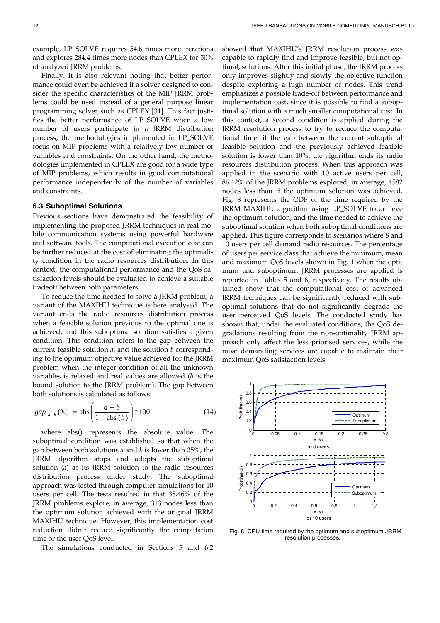example, LP\_SOLVE requires 54.6 times more iterations and explores 284.4 times more nodes than CPLEX for 50% of analyzed JRRM problems.

Finally, it is also relevant noting that better performance could even be achieved if a solver designed to consider the specific characteristics of the MIP JRRM problems could be used instead of a general purpose linear programming solver such as CPLEX [31]. This fact justifies the better performance of LP\_SOLVE when a low number of users participate in a JRRM distribution process; the methodologies implemented in LP\_SOLVE focus on MIP problems with a relatively low number of variables and constraints. On the other hand, the methodologies implemented in CPLEX are good for a wide type of MIP problems, which results in good computational performance independently of the number of variables and constraints.

#### **6.3 Suboptimal Solutions**

Previous sections have demonstrated the feasibility of implementing the proposed JRRM techniques in real mobile communication systems using powerful hardware and software tools. The computational execution cost can be further reduced at the cost of eliminating the optimality condition in the radio resources distribution. In this context, the computational performance and the QoS satisfaction levels should be evaluated to achieve a suitable tradeoff between both parameters.

To reduce the time needed to solve a JRRM problem, a variant of the MAXIHU technique is here analysed. The variant ends the radio resources distribution process when a feasible solution previous to the optimal one is achieved, and this suboptimal solution satisfies a given condition. This condition refers to the gap between the current feasible solution *a*, and the solution *b* corresponding to the optimum objective value achieved for the JRRM problem when the integer condition of all the unknown variables is relaxed and real values are allowed (*b* is the bound solution to the JRRM problem). The gap between both solutions is calculated as follows:

$$
gap_{a-b} (\%) = abs\left(\frac{a-b}{1 + abs(b)}\right) * 100
$$
 (14)

where abs() represents the absolute value. The suboptimal condition was established so that when the gap between both solutions *a* and *b* is lower than 25%, the JRRM algorithm stops and adopts the suboptimal solution (*a*) as its JRRM solution to the radio resources distribution process under study. The suboptimal approach was tested through computer simulations for 10 users per cell. The tests resulted in that 38.46% of the JRRM problems explore, in average, 313 nodes less than the optimum solution achieved with the original JRRM MAXIHU technique. However, this implementation cost reduction didn't reduce significantly the computation time or the user QoS level.

The simulations conducted in Sections 5 and 6.2

showed that MAXIHU's JRRM resolution process was capable to rapidly find and improve feasible, but not optimal, solutions. After this initial phase, the JRRM process only improves slightly and slowly the objective function despite exploring a high number of nodes. This trend emphasizes a possible trade-off between performance and implementation cost, since it is possible to find a suboptimal solution with a much smaller computational cost. In this context, a second condition is applied during the JRRM resolution process to try to reduce the computational time: if the gap between the current suboptimal feasible solution and the previously achieved feasible solution is lower than 10%, the algorithm ends its radio resources distribution process. When this approach was applied in the scenario with 10 active users per cell, 86.42% of the JRRM problems explored, in average, 4582 nodes less than if the optimum solution was achieved. Fig. 8 represents the CDF of the time required by the JRRM MAXIHU algorithm using LP\_SOLVE to achieve the optimum solution, and the time needed to achieve the suboptimal solution when both suboptimal conditions are applied. This figure corresponds to scenarios where 8 and 10 users per cell demand radio resources. The percentage of users per service class that achieve the minimum, mean and maximum QoS levels shown in Fig. 1 when the optimum and suboptimum JRRM processes are applied is reported in Tables 5 and 6, respectively. The results obtained show that the computational cost of advanced JRRM techniques can be significantly reduced with suboptimal solutions that do not significantly degrade the user perceived QoS levels. The conducted study has shown that, under the evaluated conditions, the QoS degradations resulting from the non-optimality JRRM approach only affect the less priorised services, while the most demanding services are capable to maintain their maximum QoS satisfaction levels.



Fig. 8. CPU time required by the optimum and suboptimum JRRM resolution processes.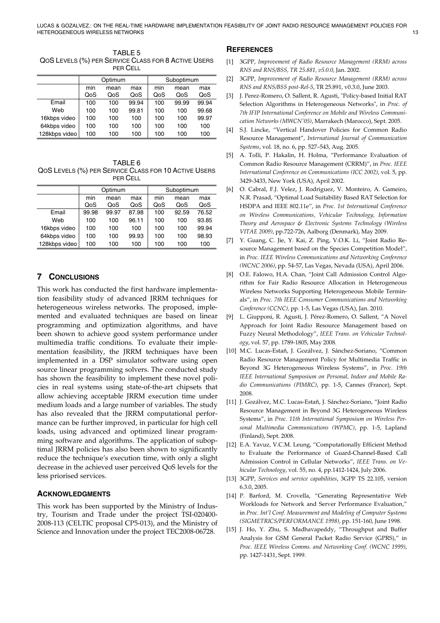TABLE 5 QOS LEVELS (%) PER SERVICE CLASS FOR 8 ACTIVE USERS PER CELL

|               |            | Optimum     |            | Suboptimum |             |            |  |
|---------------|------------|-------------|------------|------------|-------------|------------|--|
|               | min<br>QoS | mean<br>QoS | max<br>QoS | min<br>QoS | mean<br>QoS | max<br>QoS |  |
| Email         | 100        | 100         | 99.94      | 100        | 99.99       | 99.94      |  |
| Web           | 100        | 100         | 99.81      | 100        | 100         | 99.68      |  |
| 16kbps video  | 100        | 100         | 100        | 100        | 100         | 99.97      |  |
| 64kbps video  | 100        | 100         | 100        | 100        | 100         | 100        |  |
| 128kbps video | 100        | 100         | 100        | 100        | 100         | 100        |  |

TABLE 6 QOS LEVELS (%) PER SERVICE CLASS FOR 10 ACTIVE USERS PER CELL

|               |            | Optimum     |            | Suboptimum |             |            |  |
|---------------|------------|-------------|------------|------------|-------------|------------|--|
|               | min<br>QoS | mean<br>QoS | max<br>QoS | min<br>QoS | mean<br>QoS | max<br>QoS |  |
| Email         | 99.98      | 99.97       | 87.98      | 100        | 92.59       | 76.52      |  |
| Web           | 100        | 100         | 96.11      | 100        | 100         | 93.85      |  |
| 16kbps video  | 100        | 100         | 100        | 100        | 100         | 99.94      |  |
| 64kbps video  | 100        | 100         | 99.93      | 100        | 100         | 98.93      |  |
| 128kbps video | 100        | 100         | 100        | 100        | 100         | 100        |  |

# **7 CONCLUSIONS**

This work has conducted the first hardware implementation feasibility study of advanced JRRM techniques for heterogeneous wireless networks. The proposed, implemented and evaluated techniques are based on linear programming and optimization algorithms, and have been shown to achieve good system performance under multimedia traffic conditions. To evaluate their implementation feasibility, the JRRM techniques have been implemented in a DSP simulator software using open source linear programming solvers. The conducted study has shown the feasibility to implement these novel policies in real systems using state-of-the-art chipsets that allow achieving acceptable JRRM execution time under medium loads and a large number of variables. The study has also revealed that the JRRM computational performance can be further improved, in particular for high cell loads, using advanced and optimized linear programming software and algorithms. The application of suboptimal JRRM policies has also been shown to significantly reduce the technique's execution time, with only a slight decrease in the achieved user perceived QoS levels for the less priorised services.

# **ACKNOWLEDGMENTS**

This work has been supported by the Ministry of Industry, Tourism and Trade under the project TSI-020400- 2008-113 (CELTIC proposal CP5-013), and the Ministry of Science and Innovation under the project TEC2008-06728.

# **REFERENCES**

- [1] 3GPP, *Improvement of Radio Resource Management (RRM) across RNS and RNS/BSS, TR 25.881, v5.0.0*, Jan. 2002.
- [2] 3GPP, *Improvement of Radio Resource Management (RRM) across RNS and RNS/BSS post-Rel-5*, TR 25.891, v0.3.0, June 2003.
- [3] J. Perez-Romero, O. Sallent, R. Agusti, "Policy-based Initial RAT Selection Algorithms in Heterogeneous Networks", in *Proc. of 7th IFIP International Conference on Mobile and Wireless Communication Networks (MWCN'05)*, Marrakech (Marocco), Sept. 2005.
- [4] S.J. Lincke, "Vertical Handover Policies for Common Radio Resource Management", *International Journal of Communication Systems*, vol. 18, no. 6, pp. 527–543, Aug. 2005.
- [5] A. Tolli, P. Hakalin, H. Holma, "Performance Evaluation of Common Radio Resource Management (CRRM)", in *Proc. IEEE International Conference on Communications (ICC 2002)*, vol. 5, pp. 3429-3433, New York (USA), April 2002.
- [6] O. Cabral, F.J. Velez, J. Rodriguez, V. Monteiro, A. Gameiro, N.R. Prasad, "Optimal Load Suitability Based RAT Selection for HSDPA and IEEE 802.11e", in *Proc. 1st International Conference on Wireless Communications, Vehicular Technology, Information Theory and Aerospace & Electronic Systems Technology (Wireless VITAE 2009)*, pp.722-726, Aalborg (Denmark), May 2009.
- [7] Y. Guang, C. Jie, Y. Kai, Z. Ping, V.O.K. Li, "Joint Radio Resource Management based on the Species Competition Model", in *Proc. IEEE Wireless Communications and Networking Conference (WCNC 2006)*, pp. 54-57, Las Vegas, Nevada (USA), April 2006.
- [8] O.E. Falowo, H.A. Chan, "Joint Call Admission Control Algorithm for Fair Radio Resource Allocation in Heterogeneous Wireless Networks Supporting Heterogeneous Mobile Terminals", in *Proc. 7th IEEE Consumer Communications and Networking Conference (CCNC),* pp. 1-5, Las Vegas (USA), Jan. 2010.
- [9] L. Giupponi, R. Agusti, J. Pérez-Romero, O. Sallent, "A Novel Approach for Joint Radio Resource Management based on Fuzzy Neural Methodology", *IEEE Trans. on Vehicular Technology*, vol. 57, pp. 1789-1805, May 2008.
- [10] M.C. Lucas-Estañ, J. Gozálvez, J. Sánchez-Soriano, "Common Radio Resource Management Policy for Multimedia Traffic in Beyond 3G Heterogeneous Wireless Systems", in *Proc. 19th IEEE International Symposium on Personal, Indoor and Mobile Radio Communications (PIMRC)*, pp. 1-5, Cannes (France), Sept. 2008.
- [11] J. Gozálvez, M.C. Lucas-Estañ, J. Sánchez-Soriano, "Joint Radio Resource Management in Beyond 3G Heterogeneous Wireless Systems", in *Proc. 11th International Symposium on Wireless Personal Multimedia Communications (WPMC)*, pp. 1-5, Lapland (Finland), Sept. 2008.
- [12] E.A. Yavuz, V.C.M. Leung, "Computationally Efficient Method to Evaluate the Performance of Guard-Channel-Based Call Admission Control in Cellular Networks", *IEEE Trans. on Vehicular Technology*, vol. 55, no. 4, pp.1412-1424, July 2006.
- [13] 3GPP, *Services and service capabilities*, 3GPP TS 22.105, version 6.3.0, 2005.
- [14] P. Barford, M. Crovella, "Generating Representative Web Workloads for Network and Server Performance Evaluation," in *Proc. Int'l Conf. Measurement and Modeling of Computer Systems (SIGMETRICS/PERFORMANCE 1998)*, pp. 151-160, June 1998.
- [15] J. Ho, Y. Zhu, S. Madhavapeddy, "Throughput and Buffer Analysis for GSM General Packet Radio Service (GPRS)," in *Proc. IEEE Wireless Comms. and Networking Conf. (WCNC 1999)*, pp. 1427-1431, Sept. 1999.